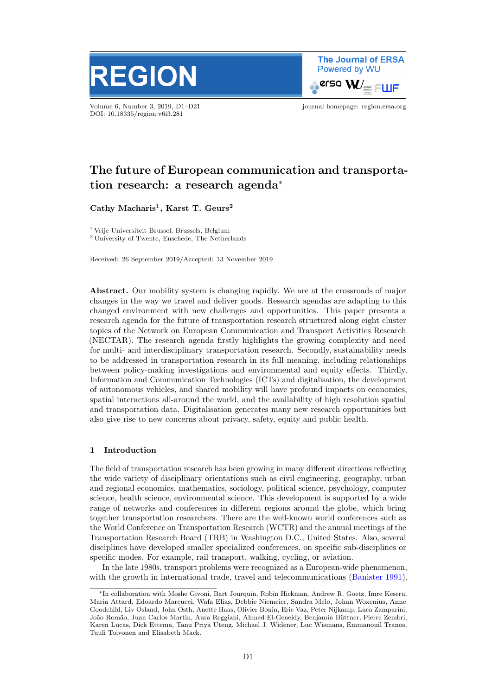

Volume 6, Number 3, 2019, D1–D21 journal homepage: region.ersa.org DOI: 10.18335/region.v6i3.281

**The Journal of ERSA** Powered by WU  $\bullet$ erso W $\prime_\equiv$  FLLIF

# The future of European communication and transportation research: a research agenda<sup>∗</sup>

Cathy Macharis<sup>1</sup>, Karst T. Geurs<sup>2</sup>

<sup>1</sup> Vrije Universiteit Brussel, Brussels, Belgium <sup>2</sup> University of Twente, Enschede, The Netherlands

Received: 26 September 2019/Accepted: 13 November 2019

Abstract. Our mobility system is changing rapidly. We are at the crossroads of major changes in the way we travel and deliver goods. Research agendas are adapting to this changed environment with new challenges and opportunities. This paper presents a research agenda for the future of transportation research structured along eight cluster topics of the Network on European Communication and Transport Activities Research (NECTAR). The research agenda firstly highlights the growing complexity and need for multi- and interdisciplinary transportation research. Secondly, sustainability needs to be addressed in transportation research in its full meaning, including relationships between policy-making investigations and environmental and equity effects. Thirdly, Information and Communication Technologies (ICTs) and digitalisation, the development of autonomous vehicles, and shared mobility will have profound impacts on economies, spatial interactions all-around the world, and the availability of high resolution spatial and transportation data. Digitalisation generates many new research opportunities but also give rise to new concerns about privacy, safety, equity and public health.

## 1 Introduction

The field of transportation research has been growing in many different directions reflecting the wide variety of disciplinary orientations such as civil engineering, geography, urban and regional economics, mathematics, sociology, political science, psychology, computer science, health science, environmental science. This development is supported by a wide range of networks and conferences in different regions around the globe, which bring together transportation researchers. There are the well-known world conferences such as the World Conference on Transportation Research (WCTR) and the annual meetings of the Transportation Research Board (TRB) in Washington D.C., United States. Also, several disciplines have developed smaller specialized conferences, on specific sub-disciplines or specific modes. For example, rail transport, walking, cycling, or aviation.

In the late 1980s, transport problems were recognized as a European-wide phenomenon, with the growth in international trade, travel and telecommunications [\(Banister](#page-15-0) [1991\)](#page-15-0).

<sup>∗</sup>In collaboration with Moshe Givoni, Bart Jourquin, Robin Hickman, Andrew R. Goetz, Imre Keseru, Maria Attard, Edoardo Marcucci, Wafa Elias, Debbie Niemeier, Sandra Melo, Johan Woxenius, Anne Goodchild, Liv Osland, John Osth, Anette Haas, Olivier Bonin, Eric Vaz, Peter Nijkamp, Luca Zamparini, ¨ João Romão, Juan Carlos Martin, Aura Reggiani, Ahmed El-Geneidy, Benjamin Büttner, Pierre Zembri, Karen Lucas, Dick Ettema, Tanu Priya Uteng, Michael J. Widener, Luc Wismans, Emmanouil Tranos, Tuuli Toivonen and Elisabeth Mack.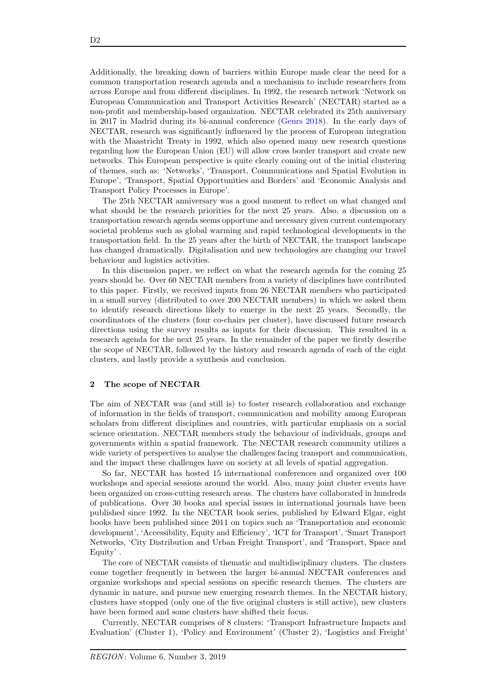Additionally, the breaking down of barriers within Europe made clear the need for a common transportation research agenda and a mechanism to include researchers from across Europe and from different disciplines. In 1992, the research network 'Network on European Communication and Transport Activities Research' (NECTAR) started as a non-profit and membership-based organization. NECTAR celebrated its 25th anniversary in 2017 in Madrid during its bi-annual conference [\(Geurs](#page-16-0) [2018\)](#page-16-0). In the early days of NECTAR, research was significantly influenced by the process of European integration with the Maastricht Treaty in 1992, which also opened many new research questions regarding how the European Union (EU) will allow cross border transport and create new networks. This European perspective is quite clearly coming out of the initial clustering of themes, such as: 'Networks', 'Transport, Communications and Spatial Evolution in Europe', 'Transport, Spatial Opportunities and Borders' and 'Economic Analysis and Transport Policy Processes in Europe'.

The 25th NECTAR anniversary was a good moment to reflect on what changed and what should be the research priorities for the next 25 years. Also, a discussion on a transportation research agenda seems opportune and necessary given current contemporary societal problems such as global warming and rapid technological developments in the transportation field. In the 25 years after the birth of NECTAR, the transport landscape has changed dramatically. Digitalisation and new technologies are changing our travel behaviour and logistics activities.

In this discussion paper, we reflect on what the research agenda for the coming 25 years should be. Over 60 NECTAR members from a variety of disciplines have contributed to this paper. Firstly, we received inputs from 26 NECTAR members who participated in a small survey (distributed to over 200 NECTAR members) in which we asked them to identify research directions likely to emerge in the next 25 years. Secondly, the coordinators of the clusters (four co-chairs per cluster), have discussed future research directions using the survey results as inputs for their discussion. This resulted in a research agenda for the next 25 years. In the remainder of the paper we firstly describe the scope of NECTAR, followed by the history and research agenda of each of the eight clusters, and lastly provide a synthesis and conclusion.

## 2 The scope of NECTAR

The aim of NECTAR was (and still is) to foster research collaboration and exchange of information in the fields of transport, communication and mobility among European scholars from different disciplines and countries, with particular emphasis on a social science orientation. NECTAR members study the behaviour of individuals, groups and governments within a spatial framework. The NECTAR research community utilizes a wide variety of perspectives to analyse the challenges facing transport and communication, and the impact these challenges have on society at all levels of spatial aggregation.

So far, NECTAR has hosted 15 international conferences and organized over 100 workshops and special sessions around the world. Also, many joint cluster events have been organized on cross-cutting research areas. The clusters have collaborated in hundreds of publications. Over 30 books and special issues in international journals have been published since 1992. In the NECTAR book series, published by Edward Elgar, eight books have been published since 2011 on topics such as 'Transportation and economic development', 'Accessibility, Equity and Efficiency', 'ICT for Transport', 'Smart Transport Networks, 'City Distribution and Urban Freight Transport', and 'Transport, Space and Equity' .

The core of NECTAR consists of thematic and multidisciplinary clusters. The clusters come together frequently in between the larger bi-annual NECTAR conferences and organize workshops and special sessions on specific research themes. The clusters are dynamic in nature, and pursue new emerging research themes. In the NECTAR history, clusters have stopped (only one of the five original clusters is still active), new clusters have been formed and some clusters have shifted their focus.

Currently, NECTAR comprises of 8 clusters: 'Transport Infrastructure Impacts and Evaluation' (Cluster 1), 'Policy and Environment' (Cluster 2), 'Logistics and Freight'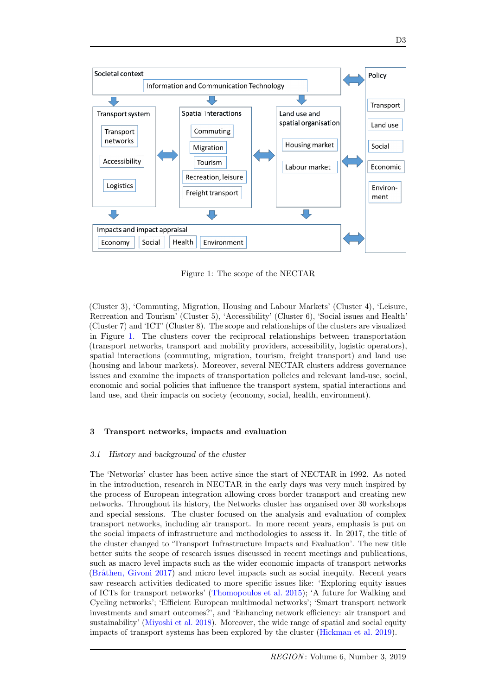<span id="page-2-0"></span>

Figure 1: The scope of the NECTAR

(Cluster 3), 'Commuting, Migration, Housing and Labour Markets' (Cluster 4), 'Leisure, Recreation and Tourism' (Cluster 5), 'Accessibility' (Cluster 6), 'Social issues and Health' (Cluster 7) and 'ICT' (Cluster 8). The scope and relationships of the clusters are visualized in Figure [1.](#page-2-0) The clusters cover the reciprocal relationships between transportation (transport networks, transport and mobility providers, accessibility, logistic operators), spatial interactions (commuting, migration, tourism, freight transport) and land use (housing and labour markets). Moreover, several NECTAR clusters address governance issues and examine the impacts of transportation policies and relevant land-use, social, economic and social policies that influence the transport system, spatial interactions and land use, and their impacts on society (economy, social, health, environment).

## 3 Transport networks, impacts and evaluation

#### 3.1 History and background of the cluster

The 'Networks' cluster has been active since the start of NECTAR in 1992. As noted in the introduction, research in NECTAR in the early days was very much inspired by the process of European integration allowing cross border transport and creating new networks. Throughout its history, the Networks cluster has organised over 30 workshops and special sessions. The cluster focused on the analysis and evaluation of complex transport networks, including air transport. In more recent years, emphasis is put on the social impacts of infrastructure and methodologies to assess it. In 2017, the title of the cluster changed to 'Transport Infrastructure Impacts and Evaluation'. The new title better suits the scope of research issues discussed in recent meetings and publications, such as macro level impacts such as the wider economic impacts of transport networks (Bråthen, Givoni [2017\)](#page-15-1) and micro level impacts such as social inequity. Recent years saw research activities dedicated to more specific issues like: 'Exploring equity issues of ICTs for transport networks' [\(Thomopoulos et al.](#page-19-0) [2015\)](#page-19-0); 'A future for Walking and Cycling networks'; 'Efficient European multimodal networks'; 'Smart transport network investments and smart outcomes?', and 'Enhancing network efficiency: air transport and sustainability' [\(Miyoshi et al.](#page-18-0) [2018\)](#page-18-0). Moreover, the wide range of spatial and social equity impacts of transport systems has been explored by the cluster [\(Hickman et al.](#page-17-0) [2019\)](#page-17-0).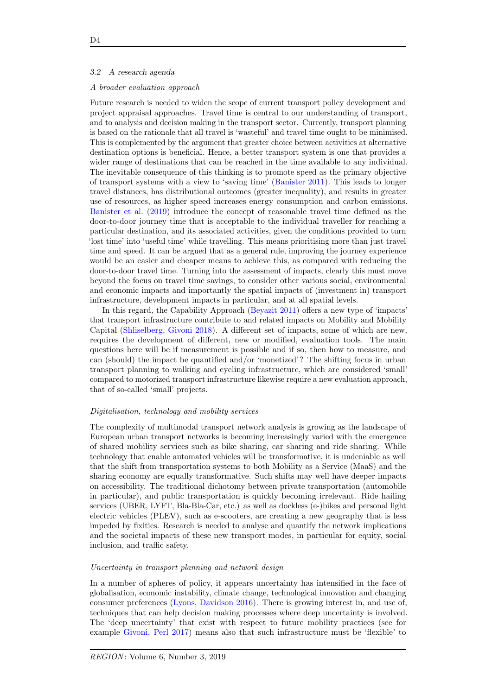## <span id="page-3-0"></span>3.2 A research agenda

## A broader evaluation approach

Future research is needed to widen the scope of current transport policy development and project appraisal approaches. Travel time is central to our understanding of transport, and to analysis and decision making in the transport sector. Currently, transport planning is based on the rationale that all travel is 'wasteful' and travel time ought to be minimised. This is complemented by the argument that greater choice between activities at alternative destination options is beneficial. Hence, a better transport system is one that provides a wider range of destinations that can be reached in the time available to any individual. The inevitable consequence of this thinking is to promote speed as the primary objective of transport systems with a view to 'saving time' [\(Banister](#page-15-2) [2011\)](#page-15-2). This leads to longer travel distances, has distributional outcomes (greater inequality), and results in greater use of resources, as higher speed increases energy consumption and carbon emissions. [Banister et al.](#page-15-3) [\(2019\)](#page-15-3) introduce the concept of reasonable travel time defined as the door-to-door journey time that is acceptable to the individual traveller for reaching a particular destination, and its associated activities, given the conditions provided to turn 'lost time' into 'useful time' while travelling. This means prioritising more than just travel time and speed. It can be argued that as a general rule, improving the journey experience would be an easier and cheaper means to achieve this, as compared with reducing the door-to-door travel time. Turning into the assessment of impacts, clearly this must move beyond the focus on travel time savings, to consider other various social, environmental and economic impacts and importantly the spatial impacts of (investment in) transport infrastructure, development impacts in particular, and at all spatial levels.

In this regard, the Capability Approach [\(Beyazit](#page-15-4) [2011\)](#page-15-4) offers a new type of 'impacts' that transport infrastructure contribute to and related impacts on Mobility and Mobility Capital [\(Shliselberg, Givoni](#page-19-1) [2018\)](#page-19-1). A different set of impacts, some of which are new, requires the development of different, new or modified, evaluation tools. The main questions here will be if measurement is possible and if so, then how to measure, and can (should) the impact be quantified and/or 'monetized'? The shifting focus in urban transport planning to walking and cycling infrastructure, which are considered 'small' compared to motorized transport infrastructure likewise require a new evaluation approach, that of so-called 'small' projects.

#### Digitalisation, technology and mobility services

The complexity of multimodal transport network analysis is growing as the landscape of European urban transport networks is becoming increasingly varied with the emergence of shared mobility services such as bike sharing, car sharing and ride sharing. While technology that enable automated vehicles will be transformative, it is undeniable as well that the shift from transportation systems to both Mobility as a Service (MaaS) and the sharing economy are equally transformative. Such shifts may well have deeper impacts on accessibility. The traditional dichotomy between private transportation (automobile in particular), and public transportation is quickly becoming irrelevant. Ride hailing services (UBER, LYFT, Bla-Bla-Car, etc.) as well as dockless (e-)bikes and personal light electric vehicles (PLEV), such as e-scooters, are creating a new geography that is less impeded by fixities. Research is needed to analyse and quantify the network implications and the societal impacts of these new transport modes, in particular for equity, social inclusion, and traffic safety.

## Uncertainty in transport planning and network design

In a number of spheres of policy, it appears uncertainty has intensified in the face of globalisation, economic instability, climate change, technological innovation and changing consumer preferences [\(Lyons, Davidson](#page-17-1) [2016\)](#page-17-1). There is growing interest in, and use of, techniques that can help decision making processes where deep uncertainty is involved. The 'deep uncertainty' that exist with respect to future mobility practices (see for example [Givoni, Perl](#page-17-2) [2017\)](#page-17-2) means also that such infrastructure must be 'flexible' to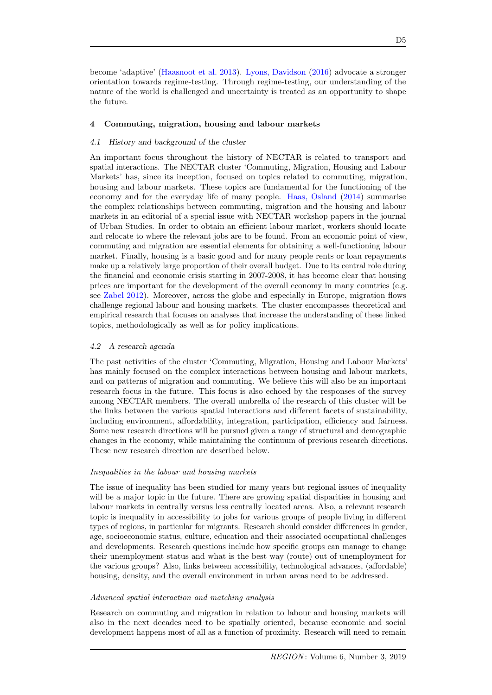# 4 Commuting, migration, housing and labour markets

# 4.1 History and background of the cluster

An important focus throughout the history of NECTAR is related to transport and spatial interactions. The NECTAR cluster 'Commuting, Migration, Housing and Labour Markets' has, since its inception, focused on topics related to commuting, migration, housing and labour markets. These topics are fundamental for the functioning of the economy and for the everyday life of many people. [Haas, Osland](#page-17-4) [\(2014\)](#page-17-4) summarise the complex relationships between commuting, migration and the housing and labour markets in an editorial of a special issue with NECTAR workshop papers in the journal of Urban Studies. In order to obtain an efficient labour market, workers should locate and relocate to where the relevant jobs are to be found. From an economic point of view, commuting and migration are essential elements for obtaining a well-functioning labour market. Finally, housing is a basic good and for many people rents or loan repayments make up a relatively large proportion of their overall budget. Due to its central role during the financial and economic crisis starting in 2007-2008, it has become clear that housing prices are important for the development of the overall economy in many countries (e.g. see [Zabel](#page-20-0) [2012\)](#page-20-0). Moreover, across the globe and especially in Europe, migration flows challenge regional labour and housing markets. The cluster encompasses theoretical and empirical research that focuses on analyses that increase the understanding of these linked topics, methodologically as well as for policy implications.

# <span id="page-4-0"></span>4.2 A research agenda

The past activities of the cluster 'Commuting, Migration, Housing and Labour Markets' has mainly focused on the complex interactions between housing and labour markets, and on patterns of migration and commuting. We believe this will also be an important research focus in the future. This focus is also echoed by the responses of the survey among NECTAR members. The overall umbrella of the research of this cluster will be the links between the various spatial interactions and different facets of sustainability, including environment, affordability, integration, participation, efficiency and fairness. Some new research directions will be pursued given a range of structural and demographic changes in the economy, while maintaining the continuum of previous research directions. These new research direction are described below.

## Inequalities in the labour and housing markets

The issue of inequality has been studied for many years but regional issues of inequality will be a major topic in the future. There are growing spatial disparities in housing and labour markets in centrally versus less centrally located areas. Also, a relevant research topic is inequality in accessibility to jobs for various groups of people living in different types of regions, in particular for migrants. Research should consider differences in gender, age, socioeconomic status, culture, education and their associated occupational challenges and developments. Research questions include how specific groups can manage to change their unemployment status and what is the best way (route) out of unemployment for the various groups? Also, links between accessibility, technological advances, (affordable) housing, density, and the overall environment in urban areas need to be addressed.

## Advanced spatial interaction and matching analysis

Research on commuting and migration in relation to labour and housing markets will also in the next decades need to be spatially oriented, because economic and social development happens most of all as a function of proximity. Research will need to remain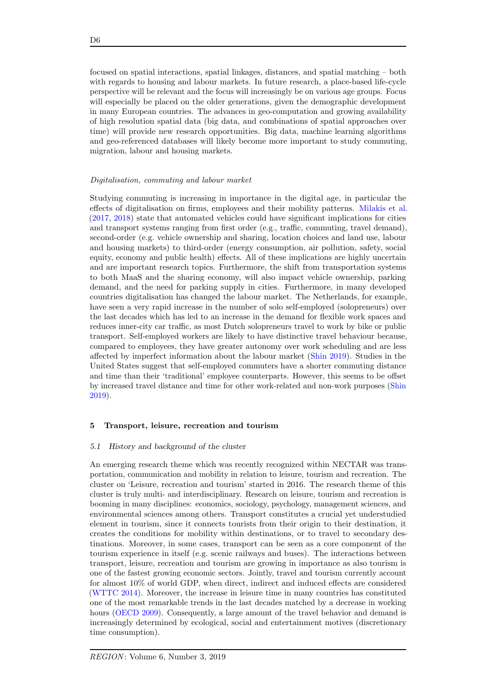focused on spatial interactions, spatial linkages, distances, and spatial matching – both with regards to housing and labour markets. In future research, a place-based life-cycle perspective will be relevant and the focus will increasingly be on various age groups. Focus will especially be placed on the older generations, given the demographic development in many European countries. The advances in geo-computation and growing availability of high resolution spatial data (big data, and combinations of spatial approaches over time) will provide new research opportunities. Big data, machine learning algorithms and geo-referenced databases will likely become more important to study commuting, migration, labour and housing markets.

#### Digitalisation, commuting and labour market

Studying commuting is increasing in importance in the digital age, in particular the effects of digitalisation on firms, employees and their mobility patterns. [Milakis et al.](#page-18-1) [\(2017,](#page-18-1) [2018\)](#page-18-2) state that automated vehicles could have significant implications for cities and transport systems ranging from first order (e.g., traffic, commuting, travel demand), second-order (e.g. vehicle ownership and sharing, location choices and land use, labour and housing markets) to third-order (energy consumption, air pollution, safety, social equity, economy and public health) effects. All of these implications are highly uncertain and are important research topics. Furthermore, the shift from transportation systems to both MaaS and the sharing economy, will also impact vehicle ownership, parking demand, and the need for parking supply in cities. Furthermore, in many developed countries digitalisation has changed the labour market. The Netherlands, for example, have seen a very rapid increase in the number of solo self-employed (solopreneurs) over the last decades which has led to an increase in the demand for flexible work spaces and reduces inner-city car traffic, as most Dutch solopreneurs travel to work by bike or public transport. Self-employed workers are likely to have distinctive travel behaviour because, compared to employees, they have greater autonomy over work scheduling and are less affected by imperfect information about the labour market [\(Shin](#page-19-2) [2019\)](#page-19-2). Studies in the United States suggest that self-employed commuters have a shorter commuting distance and time than their 'traditional' employee counterparts. However, this seems to be offset by increased travel distance and time for other work-related and non-work purposes [\(Shin](#page-19-2) [2019\)](#page-19-2).

#### 5 Transport, leisure, recreation and tourism

#### 5.1 History and background of the cluster

An emerging research theme which was recently recognized within NECTAR was transportation, communication and mobility in relation to leisure, tourism and recreation. The cluster on 'Leisure, recreation and tourism' started in 2016. The research theme of this cluster is truly multi- and interdisciplinary. Research on leisure, tourism and recreation is booming in many disciplines: economics, sociology, psychology, management sciences, and environmental sciences among others. Transport constitutes a crucial yet understudied element in tourism, since it connects tourists from their origin to their destination, it creates the conditions for mobility within destinations, or to travel to secondary destinations. Moreover, in some cases, transport can be seen as a core component of the tourism experience in itself (e.g. scenic railways and buses). The interactions between transport, leisure, recreation and tourism are growing in importance as also tourism is one of the fastest growing economic sectors. Jointly, travel and tourism currently account for almost 10% of world GDP, when direct, indirect and induced effects are considered [\(WTTC](#page-20-1) [2014\)](#page-20-1). Moreover, the increase in leisure time in many countries has constituted one of the most remarkable trends in the last decades matched by a decrease in working hours [\(OECD](#page-18-3) [2009\)](#page-18-3). Consequently, a large amount of the travel behavior and demand is increasingly determined by ecological, social and entertainment motives (discretionary time consumption).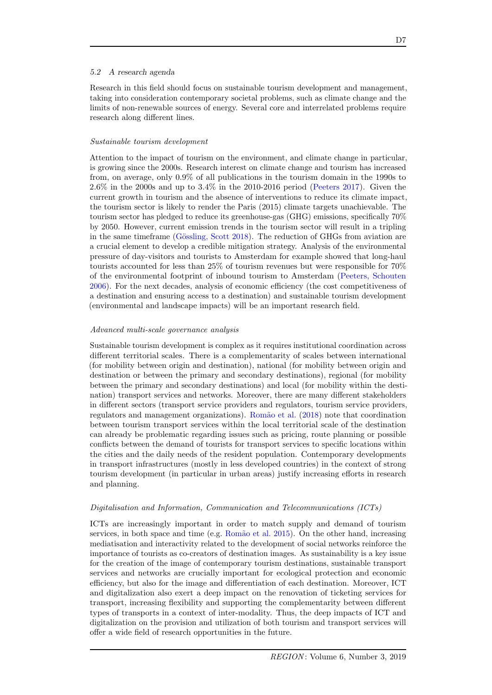## 5.2 A research agenda

Research in this field should focus on sustainable tourism development and management, taking into consideration contemporary societal problems, such as climate change and the limits of non-renewable sources of energy. Several core and interrelated problems require research along different lines.

#### Sustainable tourism development

Attention to the impact of tourism on the environment, and climate change in particular, is growing since the 2000s. Research interest on climate change and tourism has increased from, on average, only 0.9% of all publications in the tourism domain in the 1990s to 2.6% in the 2000s and up to 3.4% in the 2010-2016 period [\(Peeters](#page-19-3) [2017\)](#page-19-3). Given the current growth in tourism and the absence of interventions to reduce its climate impact, the tourism sector is likely to render the Paris (2015) climate targets unachievable. The tourism sector has pledged to reduce its greenhouse-gas (GHG) emissions, specifically 70% by 2050. However, current emission trends in the tourism sector will result in a tripling in the same timeframe (Gössling, Scott [2018\)](#page-17-5). The reduction of GHGs from aviation are a crucial element to develop a credible mitigation strategy. Analysis of the environmental pressure of day-visitors and tourists to Amsterdam for example showed that long-haul tourists accounted for less than 25% of tourism revenues but were responsible for 70% of the environmental footprint of inbound tourism to Amsterdam [\(Peeters, Schouten](#page-19-4) [2006\)](#page-19-4). For the next decades, analysis of economic efficiency (the cost competitiveness of a destination and ensuring access to a destination) and sustainable tourism development (environmental and landscape impacts) will be an important research field.

#### Advanced multi-scale governance analysis

Sustainable tourism development is complex as it requires institutional coordination across different territorial scales. There is a complementarity of scales between international (for mobility between origin and destination), national (for mobility between origin and destination or between the primary and secondary destinations), regional (for mobility between the primary and secondary destinations) and local (for mobility within the destination) transport services and networks. Moreover, there are many different stakeholders in different sectors (transport service providers and regulators, tourism service providers, regulators and management organizations). [Rom˜ao et al.](#page-19-5) [\(2018\)](#page-19-5) note that coordination between tourism transport services within the local territorial scale of the destination can already be problematic regarding issues such as pricing, route planning or possible conflicts between the demand of tourists for transport services to specific locations within the cities and the daily needs of the resident population. Contemporary developments in transport infrastructures (mostly in less developed countries) in the context of strong tourism development (in particular in urban areas) justify increasing efforts in research and planning.

## Digitalisation and Information, Communication and Telecommunications (ICTs)

ICTs are increasingly important in order to match supply and demand of tourism services, in both space and time (e.g. Romão et al. [2015\)](#page-19-6). On the other hand, increasing mediatisation and interactivity related to the development of social networks reinforce the importance of tourists as co-creators of destination images. As sustainability is a key issue for the creation of the image of contemporary tourism destinations, sustainable transport services and networks are crucially important for ecological protection and economic efficiency, but also for the image and differentiation of each destination. Moreover, ICT and digitalization also exert a deep impact on the renovation of ticketing services for transport, increasing flexibility and supporting the complementarity between different types of transports in a context of inter-modality. Thus, the deep impacts of ICT and digitalization on the provision and utilization of both tourism and transport services will offer a wide field of research opportunities in the future.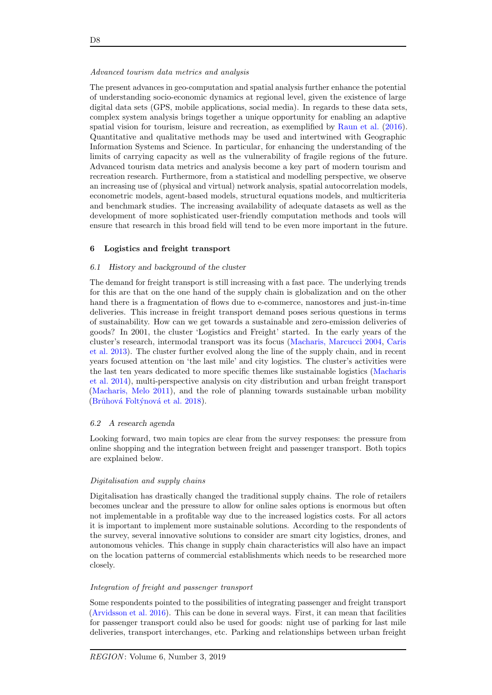#### Advanced tourism data metrics and analysis

The present advances in geo-computation and spatial analysis further enhance the potential of understanding socio-economic dynamics at regional level, given the existence of large digital data sets (GPS, mobile applications, social media). In regards to these data sets, complex system analysis brings together a unique opportunity for enabling an adaptive spatial vision for tourism, leisure and recreation, as exemplified by [Raun et al.](#page-19-7) [\(2016\)](#page-19-7). Quantitative and qualitative methods may be used and intertwined with Geographic Information Systems and Science. In particular, for enhancing the understanding of the limits of carrying capacity as well as the vulnerability of fragile regions of the future. Advanced tourism data metrics and analysis become a key part of modern tourism and recreation research. Furthermore, from a statistical and modelling perspective, we observe an increasing use of (physical and virtual) network analysis, spatial autocorrelation models, econometric models, agent-based models, structural equations models, and multicriteria and benchmark studies. The increasing availability of adequate datasets as well as the development of more sophisticated user-friendly computation methods and tools will ensure that research in this broad field will tend to be even more important in the future.

# 6 Logistics and freight transport

#### 6.1 History and background of the cluster

The demand for freight transport is still increasing with a fast pace. The underlying trends for this are that on the one hand of the supply chain is globalization and on the other hand there is a fragmentation of flows due to e-commerce, nanostores and just-in-time deliveries. This increase in freight transport demand poses serious questions in terms of sustainability. How can we get towards a sustainable and zero-emission deliveries of goods? In 2001, the cluster 'Logistics and Freight' started. In the early years of the cluster's research, intermodal transport was its focus [\(Macharis, Marcucci](#page-17-6) [2004,](#page-17-6) [Caris](#page-15-5) [et al.](#page-15-5) [2013\)](#page-15-5). The cluster further evolved along the line of the supply chain, and in recent years focused attention on 'the last mile' and city logistics. The cluster's activities were the last ten years dedicated to more specific themes like sustainable logistics [\(Macharis](#page-18-4) [et al.](#page-18-4) [2014\)](#page-18-4), multi-perspective analysis on city distribution and urban freight transport [\(Macharis, Melo](#page-18-5) [2011\)](#page-18-5), and the role of planning towards sustainable urban mobility (Brůhová Foltýnová et al. [2018\)](#page-15-6).

# 6.2 A research agenda

Looking forward, two main topics are clear from the survey responses: the pressure from online shopping and the integration between freight and passenger transport. Both topics are explained below.

#### Digitalisation and supply chains

Digitalisation has drastically changed the traditional supply chains. The role of retailers becomes unclear and the pressure to allow for online sales options is enormous but often not implementable in a profitable way due to the increased logistics costs. For all actors it is important to implement more sustainable solutions. According to the respondents of the survey, several innovative solutions to consider are smart city logistics, drones, and autonomous vehicles. This change in supply chain characteristics will also have an impact on the location patterns of commercial establishments which needs to be researched more closely.

#### Integration of freight and passenger transport

Some respondents pointed to the possibilities of integrating passenger and freight transport [\(Arvidsson et al.](#page-15-7) [2016\)](#page-15-7). This can be done in several ways. First, it can mean that facilities for passenger transport could also be used for goods: night use of parking for last mile deliveries, transport interchanges, etc. Parking and relationships between urban freight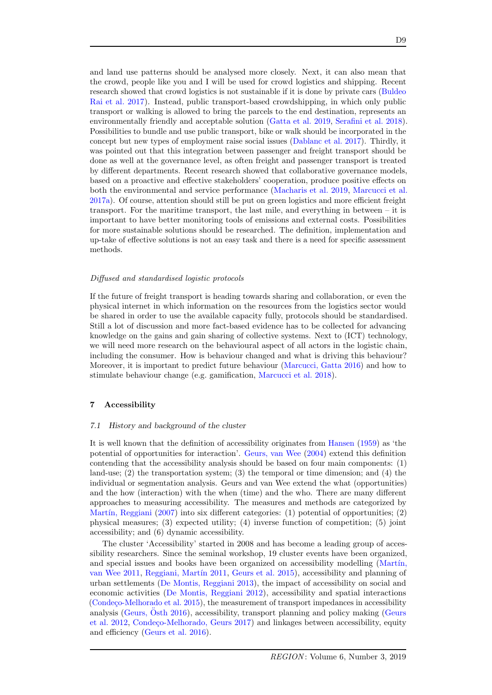and land use patterns should be analysed more closely. Next, it can also mean that the crowd, people like you and I will be used for crowd logistics and shipping. Recent research showed that crowd logistics is not sustainable if it is done by private cars [\(Buldeo](#page-15-8) [Rai et al.](#page-15-8) [2017\)](#page-15-8). Instead, public transport-based crowdshipping, in which only public transport or walking is allowed to bring the parcels to the end destination, represents an environmentally friendly and acceptable solution [\(Gatta et al.](#page-16-1) [2019,](#page-16-1) [Serafini et al.](#page-19-8) [2018\)](#page-19-8). Possibilities to bundle and use public transport, bike or walk should be incorporated in the concept but new types of employment raise social issues [\(Dablanc et al.](#page-16-2) [2017\)](#page-16-2). Thirdly, it was pointed out that this integration between passenger and freight transport should be done as well at the governance level, as often freight and passenger transport is treated by different departments. Recent research showed that collaborative governance models, based on a proactive and effective stakeholders' cooperation, produce positive effects on both the environmental and service performance [\(Macharis et al.](#page-17-7) [2019,](#page-17-7) [Marcucci et al.](#page-18-6) [2017a\)](#page-18-6). Of course, attention should still be put on green logistics and more efficient freight transport. For the maritime transport, the last mile, and everything in between – it is important to have better monitoring tools of emissions and external costs. Possibilities for more sustainable solutions should be researched. The definition, implementation and up-take of effective solutions is not an easy task and there is a need for specific assessment methods.

#### Diffused and standardised logistic protocols

If the future of freight transport is heading towards sharing and collaboration, or even the physical internet in which information on the resources from the logistics sector would be shared in order to use the available capacity fully, protocols should be standardised. Still a lot of discussion and more fact-based evidence has to be collected for advancing knowledge on the gains and gain sharing of collective systems. Next to (ICT) technology, we will need more research on the behavioural aspect of all actors in the logistic chain, including the consumer. How is behaviour changed and what is driving this behaviour? Moreover, it is important to predict future behaviour [\(Marcucci, Gatta](#page-18-7) [2016\)](#page-18-7) and how to stimulate behaviour change (e.g. gamification, [Marcucci et al.](#page-18-8) [2018\)](#page-18-8).

## 7 Accessibility

## 7.1 History and background of the cluster

It is well known that the definition of accessibility originates from [Hansen](#page-17-8) [\(1959\)](#page-17-8) as 'the potential of opportunities for interaction'. [Geurs, van Wee](#page-17-9) [\(2004\)](#page-17-9) extend this definition contending that the accessibility analysis should be based on four main components: (1) land-use; (2) the transportation system; (3) the temporal or time dimension; and (4) the individual or segmentation analysis. Geurs and van Wee extend the what (opportunities) and the how (interaction) with the when (time) and the who. There are many different approaches to measuring accessibility. The measures and methods are categorized by Martín, Reggiani [\(2007\)](#page-18-9) into six different categories:  $(1)$  potential of opportunities;  $(2)$ physical measures; (3) expected utility; (4) inverse function of competition; (5) joint accessibility; and (6) dynamic accessibility.

The cluster 'Accessibility' started in 2008 and has become a leading group of accessibility researchers. Since the seminal workshop, 19 cluster events have been organized, and special issues and books have been organized on accessibility modelling (Martín, [van Wee](#page-18-10) [2011,](#page-19-9) Reggiani, Martín 2011, [Geurs et al.](#page-16-3) [2015\)](#page-16-3), accessibility and planning of urban settlements [\(De Montis, Reggiani](#page-16-4) [2013\)](#page-16-4), the impact of accessibility on social and economic activities [\(De Montis, Reggiani](#page-16-5) [2012\)](#page-16-5), accessibility and spatial interactions  $(Condeco-Melhorado et al. 2015)$  $(Condeco-Melhorado et al. 2015)$ , the measurement of transport impedances in accessibility analysis [\(Geurs,](#page-17-10) Osth  $2016$ ), accessibility, transport planning and policy making [\(Geurs](#page-17-11) [et al.](#page-17-11) [2012,](#page-17-11) Condeço-Melhorado, Geurs [2017\)](#page-16-7) and linkages between accessibility, equity and efficiency [\(Geurs et al.](#page-17-12) [2016\)](#page-17-12).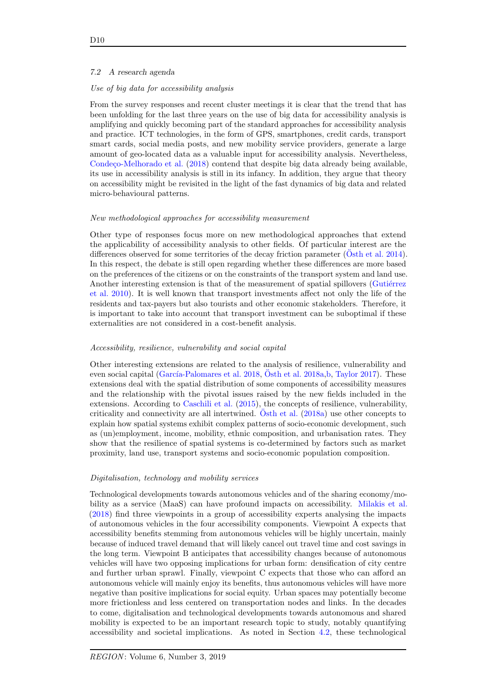## 7.2 A research agenda

#### Use of big data for accessibility analysis

From the survey responses and recent cluster meetings it is clear that the trend that has been unfolding for the last three years on the use of big data for accessibility analysis is amplifying and quickly becoming part of the standard approaches for accessibility analysis and practice. ICT technologies, in the form of GPS, smartphones, credit cards, transport smart cards, social media posts, and new mobility service providers, generate a large amount of geo-located data as a valuable input for accessibility analysis. Nevertheless, Condeço-Melhorado et al. [\(2018\)](#page-16-8) contend that despite big data already being available, its use in accessibility analysis is still in its infancy. In addition, they argue that theory on accessibility might be revisited in the light of the fast dynamics of big data and related micro-behavioural patterns.

#### New methodological approaches for accessibility measurement

Other type of responses focus more on new methodological approaches that extend the applicability of accessibility analysis to other fields. Of particular interest are the differences observed for some territories of the decay friction parameter [\(Osth et al.](#page-19-10)  $2014$ ). In this respect, the debate is still open regarding whether these differences are more based on the preferences of the citizens or on the constraints of the transport system and land use. Another interesting extension is that of the measurement of spatial spillovers (Gutiérrez [et al.](#page-17-13) [2010\)](#page-17-13). It is well known that transport investments affect not only the life of the residents and tax-payers but also tourists and other economic stakeholders. Therefore, it is important to take into account that transport investment can be suboptimal if these externalities are not considered in a cost-benefit analysis.

# Accessibility, resilience, vulnerability and social capital

Other interesting extensions are related to the analysis of resilience, vulnerability and even social capital (García-Palomares et al. [2018,](#page-16-9) [Osth et al.](#page-18-11) [2018a](#page-18-11)[,b,](#page-19-11) [Taylor](#page-19-12) [2017\)](#page-19-12). These extensions deal with the spatial distribution of some components of accessibility measures and the relationship with the pivotal issues raised by the new fields included in the extensions. According to [Caschili et al.](#page-15-9) [\(2015\)](#page-15-9), the concepts of resilience, vulnerability, criticality and connectivity are all intertwined. [Osth et al.](#page-18-11)  $(2018a)$  use other concepts to explain how spatial systems exhibit complex patterns of socio-economic development, such as (un)employment, income, mobility, ethnic composition, and urbanisation rates. They show that the resilience of spatial systems is co-determined by factors such as market proximity, land use, transport systems and socio-economic population composition.

#### Digitalisation, technology and mobility services

Technological developments towards autonomous vehicles and of the sharing economy/mobility as a service (MaaS) can have profound impacts on accessibility. [Milakis et al.](#page-18-2) [\(2018\)](#page-18-2) find three viewpoints in a group of accessibility experts analysing the impacts of autonomous vehicles in the four accessibility components. Viewpoint A expects that accessibility benefits stemming from autonomous vehicles will be highly uncertain, mainly because of induced travel demand that will likely cancel out travel time and cost savings in the long term. Viewpoint B anticipates that accessibility changes because of autonomous vehicles will have two opposing implications for urban form: densification of city centre and further urban sprawl. Finally, viewpoint C expects that those who can afford an autonomous vehicle will mainly enjoy its benefits, thus autonomous vehicles will have more negative than positive implications for social equity. Urban spaces may potentially become more frictionless and less centered on transportation nodes and links. In the decades to come, digitalisation and technological developments towards autonomous and shared mobility is expected to be an important research topic to study, notably quantifying accessibility and societal implications. As noted in Section [4.2,](#page-4-0) these technological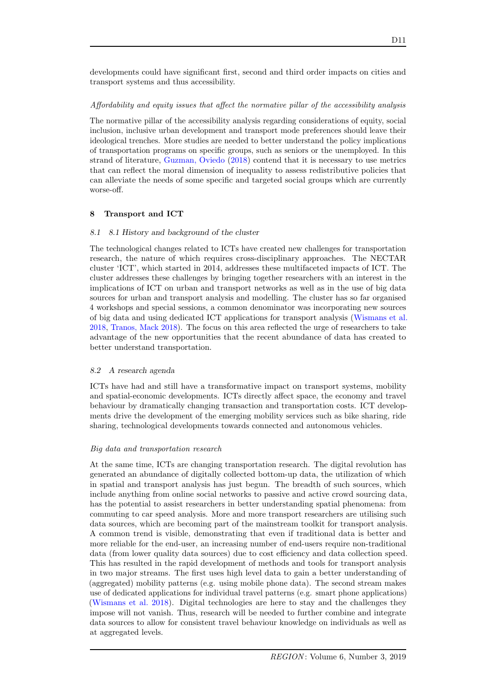developments could have significant first, second and third order impacts on cities and transport systems and thus accessibility.

## Affordability and equity issues that affect the normative pillar of the accessibility analysis

The normative pillar of the accessibility analysis regarding considerations of equity, social inclusion, inclusive urban development and transport mode preferences should leave their ideological trenches. More studies are needed to better understand the policy implications of transportation programs on specific groups, such as seniors or the unemployed. In this strand of literature, [Guzman, Oviedo](#page-17-14) [\(2018\)](#page-17-14) contend that it is necessary to use metrics that can reflect the moral dimension of inequality to assess redistributive policies that can alleviate the needs of some specific and targeted social groups which are currently worse-off.

# 8 Transport and ICT

# 8.1 8.1 History and background of the cluster

The technological changes related to ICTs have created new challenges for transportation research, the nature of which requires cross-disciplinary approaches. The NECTAR cluster 'ICT', which started in 2014, addresses these multifaceted impacts of ICT. The cluster addresses these challenges by bringing together researchers with an interest in the implications of ICT on urban and transport networks as well as in the use of big data sources for urban and transport analysis and modelling. The cluster has so far organised 4 workshops and special sessions, a common denominator was incorporating new sources of big data and using dedicated ICT applications for transport analysis [\(Wismans et al.](#page-20-2) [2018,](#page-20-2) [Tranos, Mack](#page-19-13) [2018\)](#page-19-13). The focus on this area reflected the urge of researchers to take advantage of the new opportunities that the recent abundance of data has created to better understand transportation.

# 8.2 A research agenda

ICTs have had and still have a transformative impact on transport systems, mobility and spatial-economic developments. ICTs directly affect space, the economy and travel behaviour by dramatically changing transaction and transportation costs. ICT developments drive the development of the emerging mobility services such as bike sharing, ride sharing, technological developments towards connected and autonomous vehicles.

# Big data and transportation research

At the same time, ICTs are changing transportation research. The digital revolution has generated an abundance of digitally collected bottom-up data, the utilization of which in spatial and transport analysis has just begun. The breadth of such sources, which include anything from online social networks to passive and active crowd sourcing data, has the potential to assist researchers in better understanding spatial phenomena: from commuting to car speed analysis. More and more transport researchers are utilising such data sources, which are becoming part of the mainstream toolkit for transport analysis. A common trend is visible, demonstrating that even if traditional data is better and more reliable for the end-user, an increasing number of end-users require non-traditional data (from lower quality data sources) due to cost efficiency and data collection speed. This has resulted in the rapid development of methods and tools for transport analysis in two major streams. The first uses high level data to gain a better understanding of (aggregated) mobility patterns (e.g. using mobile phone data). The second stream makes use of dedicated applications for individual travel patterns (e.g. smart phone applications) [\(Wismans et al.](#page-20-2) [2018\)](#page-20-2). Digital technologies are here to stay and the challenges they impose will not vanish. Thus, research will be needed to further combine and integrate data sources to allow for consistent travel behaviour knowledge on individuals as well as at aggregated levels.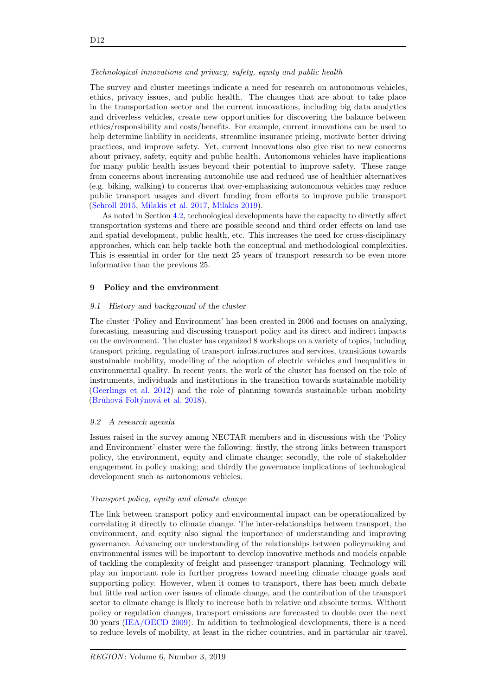## Technological innovations and privacy, safety, equity and public health

The survey and cluster meetings indicate a need for research on autonomous vehicles, ethics, privacy issues, and public health. The changes that are about to take place in the transportation sector and the current innovations, including big data analytics and driverless vehicles, create new opportunities for discovering the balance between ethics/responsibility and costs/benefits. For example, current innovations can be used to help determine liability in accidents, streamline insurance pricing, motivate better driving practices, and improve safety. Yet, current innovations also give rise to new concerns about privacy, safety, equity and public health. Autonomous vehicles have implications for many public health issues beyond their potential to improve safety. These range from concerns about increasing automobile use and reduced use of healthier alternatives (e.g. biking, walking) to concerns that over-emphasizing autonomous vehicles may reduce public transport usages and divert funding from efforts to improve public transport [\(Schroll](#page-19-14) [2015,](#page-19-14) [Milakis et al.](#page-18-1) [2017,](#page-18-1) [Milakis](#page-18-12) [2019\)](#page-18-12).

As noted in Section [4.2,](#page-4-0) technological developments have the capacity to directly affect transportation systems and there are possible second and third order effects on land use and spatial development, public health, etc. This increases the need for cross-disciplinary approaches, which can help tackle both the conceptual and methodological complexities. This is essential in order for the next 25 years of transport research to be even more informative than the previous 25.

## 9 Policy and the environment

## 9.1 History and background of the cluster

The cluster 'Policy and Environment' has been created in 2006 and focuses on analyzing, forecasting, measuring and discussing transport policy and its direct and indirect impacts on the environment. The cluster has organized 8 workshops on a variety of topics, including transport pricing, regulating of transport infrastructures and services, transitions towards sustainable mobility, modelling of the adoption of electric vehicles and inequalities in environmental quality. In recent years, the work of the cluster has focused on the role of instruments, individuals and institutions in the transition towards sustainable mobility [\(Geerlings et al.](#page-16-10) [2012\)](#page-16-10) and the role of planning towards sustainable urban mobility (Brůhová Foltýnová et al. [2018\)](#page-15-6).

## 9.2 A research agenda

Issues raised in the survey among NECTAR members and in discussions with the 'Policy and Environment' cluster were the following: firstly, the strong links between transport policy, the environment, equity and climate change; secondly, the role of stakeholder engagement in policy making; and thirdly the governance implications of technological development such as autonomous vehicles.

#### Transport policy, equity and climate change

The link between transport policy and environmental impact can be operationalized by correlating it directly to climate change. The inter-relationships between transport, the environment, and equity also signal the importance of understanding and improving governance. Advancing our understanding of the relationships between policymaking and environmental issues will be important to develop innovative methods and models capable of tackling the complexity of freight and passenger transport planning. Technology will play an important role in further progress toward meeting climate change goals and supporting policy. However, when it comes to transport, there has been much debate but little real action over issues of climate change, and the contribution of the transport sector to climate change is likely to increase both in relative and absolute terms. Without policy or regulation changes, transport emissions are forecasted to double over the next 30 years [\(IEA/OECD](#page-17-15) [2009\)](#page-17-15). In addition to technological developments, there is a need to reduce levels of mobility, at least in the richer countries, and in particular air travel.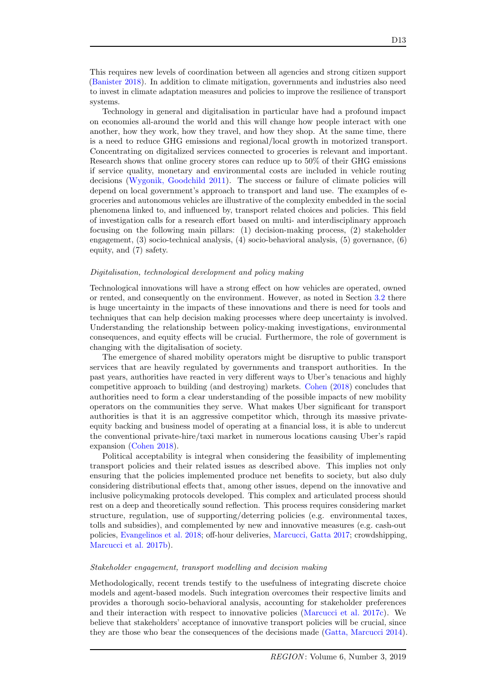This requires new levels of coordination between all agencies and strong citizen support [\(Banister](#page-15-10) [2018\)](#page-15-10). In addition to climate mitigation, governments and industries also need to invest in climate adaptation measures and policies to improve the resilience of transport systems.

Technology in general and digitalisation in particular have had a profound impact on economies all-around the world and this will change how people interact with one another, how they work, how they travel, and how they shop. At the same time, there is a need to reduce GHG emissions and regional/local growth in motorized transport. Concentrating on digitalized services connected to groceries is relevant and important. Research shows that online grocery stores can reduce up to 50% of their GHG emissions if service quality, monetary and environmental costs are included in vehicle routing decisions [\(Wygonik, Goodchild](#page-20-3) [2011\)](#page-20-3). The success or failure of climate policies will depend on local government's approach to transport and land use. The examples of egroceries and autonomous vehicles are illustrative of the complexity embedded in the social phenomena linked to, and influenced by, transport related choices and policies. This field of investigation calls for a research effort based on multi- and interdisciplinary approach focusing on the following main pillars: (1) decision-making process, (2) stakeholder engagement, (3) socio-technical analysis, (4) socio-behavioral analysis, (5) governance, (6) equity, and (7) safety.

#### Digitalisation, technological development and policy making

Technological innovations will have a strong effect on how vehicles are operated, owned or rented, and consequently on the environment. However, as noted in Section [3.2](#page-3-0) there is huge uncertainty in the impacts of these innovations and there is need for tools and techniques that can help decision making processes where deep uncertainty is involved. Understanding the relationship between policy-making investigations, environmental consequences, and equity effects will be crucial. Furthermore, the role of government is changing with the digitalisation of society.

The emergence of shared mobility operators might be disruptive to public transport services that are heavily regulated by governments and transport authorities. In the past years, authorities have reacted in very different ways to Uber's tenacious and highly competitive approach to building (and destroying) markets. [Cohen](#page-16-11) [\(2018\)](#page-16-11) concludes that authorities need to form a clear understanding of the possible impacts of new mobility operators on the communities they serve. What makes Uber significant for transport authorities is that it is an aggressive competitor which, through its massive privateequity backing and business model of operating at a financial loss, it is able to undercut the conventional private-hire/taxi market in numerous locations causing Uber's rapid expansion [\(Cohen](#page-16-11) [2018\)](#page-16-11).

Political acceptability is integral when considering the feasibility of implementing transport policies and their related issues as described above. This implies not only ensuring that the policies implemented produce net benefits to society, but also duly considering distributional effects that, among other issues, depend on the innovative and inclusive policymaking protocols developed. This complex and articulated process should rest on a deep and theoretically sound reflection. This process requires considering market structure, regulation, use of supporting/deterring policies (e.g. environmental taxes, tolls and subsidies), and complemented by new and innovative measures (e.g. cash-out policies, [Evangelinos et al.](#page-16-12) [2018;](#page-16-12) off-hour deliveries, [Marcucci, Gatta](#page-18-13) [2017;](#page-18-13) crowdshipping, [Marcucci et al.](#page-18-14) [2017b\)](#page-18-14).

## Stakeholder engagement, transport modelling and decision making

Methodologically, recent trends testify to the usefulness of integrating discrete choice models and agent-based models. Such integration overcomes their respective limits and provides a thorough socio-behavioral analysis, accounting for stakeholder preferences and their interaction with respect to innovative policies [\(Marcucci et al.](#page-18-15) [2017c\)](#page-18-15). We believe that stakeholders' acceptance of innovative transport policies will be crucial, since they are those who bear the consequences of the decisions made [\(Gatta, Marcucci](#page-16-13) [2014\)](#page-16-13).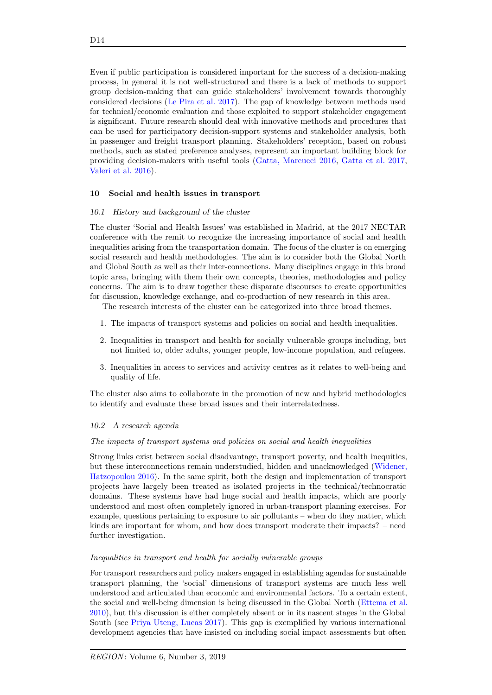Even if public participation is considered important for the success of a decision-making process, in general it is not well-structured and there is a lack of methods to support group decision-making that can guide stakeholders' involvement towards thoroughly considered decisions [\(Le Pira et al.](#page-17-16) [2017\)](#page-17-16). The gap of knowledge between methods used for technical/economic evaluation and those exploited to support stakeholder engagement is significant. Future research should deal with innovative methods and procedures that can be used for participatory decision-support systems and stakeholder analysis, both in passenger and freight transport planning. Stakeholders' reception, based on robust methods, such as stated preference analyses, represent an important building block for providing decision-makers with useful tools [\(Gatta, Marcucci](#page-16-14) [2016,](#page-16-14) [Gatta et al.](#page-16-15) [2017,](#page-16-15) [Valeri et al.](#page-19-15) [2016\)](#page-19-15).

## 10 Social and health issues in transport

#### 10.1 History and background of the cluster

The cluster 'Social and Health Issues' was established in Madrid, at the 2017 NECTAR conference with the remit to recognize the increasing importance of social and health inequalities arising from the transportation domain. The focus of the cluster is on emerging social research and health methodologies. The aim is to consider both the Global North and Global South as well as their inter-connections. Many disciplines engage in this broad topic area, bringing with them their own concepts, theories, methodologies and policy concerns. The aim is to draw together these disparate discourses to create opportunities for discussion, knowledge exchange, and co-production of new research in this area.

The research interests of the cluster can be categorized into three broad themes.

- 1. The impacts of transport systems and policies on social and health inequalities.
- 2. Inequalities in transport and health for socially vulnerable groups including, but not limited to, older adults, younger people, low-income population, and refugees.
- 3. Inequalities in access to services and activity centres as it relates to well-being and quality of life.

The cluster also aims to collaborate in the promotion of new and hybrid methodologies to identify and evaluate these broad issues and their interrelatedness.

#### 10.2 A research agenda

#### The impacts of transport systems and policies on social and health inequalities

Strong links exist between social disadvantage, transport poverty, and health inequities, but these interconnections remain understudied, hidden and unacknowledged [\(Widener,](#page-19-16) [Hatzopoulou](#page-19-16) [2016\)](#page-19-16). In the same spirit, both the design and implementation of transport projects have largely been treated as isolated projects in the technical/technocratic domains. These systems have had huge social and health impacts, which are poorly understood and most often completely ignored in urban-transport planning exercises. For example, questions pertaining to exposure to air pollutants – when do they matter, which kinds are important for whom, and how does transport moderate their impacts? – need further investigation.

## Inequalities in transport and health for socially vulnerable groups

For transport researchers and policy makers engaged in establishing agendas for sustainable transport planning, the 'social' dimensions of transport systems are much less well understood and articulated than economic and environmental factors. To a certain extent, the social and well-being dimension is being discussed in the Global North [\(Ettema et al.](#page-16-16) [2010\)](#page-16-16), but this discussion is either completely absent or in its nascent stages in the Global South (see [Priya Uteng, Lucas](#page-19-17) [2017\)](#page-19-17). This gap is exemplified by various international development agencies that have insisted on including social impact assessments but often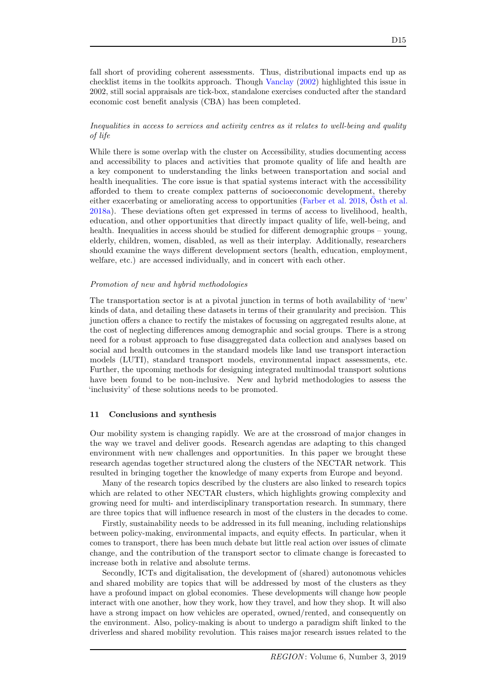fall short of providing coherent assessments. Thus, distributional impacts end up as checklist items in the toolkits approach. Though [Vanclay](#page-19-18) [\(2002\)](#page-19-18) highlighted this issue in 2002, still social appraisals are tick-box, standalone exercises conducted after the standard economic cost benefit analysis (CBA) has been completed.

# Inequalities in access to services and activity centres as it relates to well-being and quality of life

While there is some overlap with the cluster on Accessibility, studies documenting access and accessibility to places and activities that promote quality of life and health are a key component to understanding the links between transportation and social and health inequalities. The core issue is that spatial systems interact with the accessibility afforded to them to create complex patterns of socioeconomic development, thereby either exacerbating or ameliorating access to opportunities [\(Farber et al.](#page-16-17)  $2018$ , [Osth et al.](#page-18-11) [2018a\)](#page-18-11). These deviations often get expressed in terms of access to livelihood, health, education, and other opportunities that directly impact quality of life, well-being, and health. Inequalities in access should be studied for different demographic groups – young, elderly, children, women, disabled, as well as their interplay. Additionally, researchers should examine the ways different development sectors (health, education, employment, welfare, etc.) are accessed individually, and in concert with each other.

## Promotion of new and hybrid methodologies

The transportation sector is at a pivotal junction in terms of both availability of 'new' kinds of data, and detailing these datasets in terms of their granularity and precision. This junction offers a chance to rectify the mistakes of focussing on aggregated results alone, at the cost of neglecting differences among demographic and social groups. There is a strong need for a robust approach to fuse disaggregated data collection and analyses based on social and health outcomes in the standard models like land use transport interaction models (LUTI), standard transport models, environmental impact assessments, etc. Further, the upcoming methods for designing integrated multimodal transport solutions have been found to be non-inclusive. New and hybrid methodologies to assess the 'inclusivity' of these solutions needs to be promoted.

## 11 Conclusions and synthesis

Our mobility system is changing rapidly. We are at the crossroad of major changes in the way we travel and deliver goods. Research agendas are adapting to this changed environment with new challenges and opportunities. In this paper we brought these research agendas together structured along the clusters of the NECTAR network. This resulted in bringing together the knowledge of many experts from Europe and beyond.

Many of the research topics described by the clusters are also linked to research topics which are related to other NECTAR clusters, which highlights growing complexity and growing need for multi- and interdisciplinary transportation research. In summary, there are three topics that will influence research in most of the clusters in the decades to come.

Firstly, sustainability needs to be addressed in its full meaning, including relationships between policy-making, environmental impacts, and equity effects. In particular, when it comes to transport, there has been much debate but little real action over issues of climate change, and the contribution of the transport sector to climate change is forecasted to increase both in relative and absolute terms.

Secondly, ICTs and digitalisation, the development of (shared) autonomous vehicles and shared mobility are topics that will be addressed by most of the clusters as they have a profound impact on global economies. These developments will change how people interact with one another, how they work, how they travel, and how they shop. It will also have a strong impact on how vehicles are operated, owned/rented, and consequently on the environment. Also, policy-making is about to undergo a paradigm shift linked to the driverless and shared mobility revolution. This raises major research issues related to the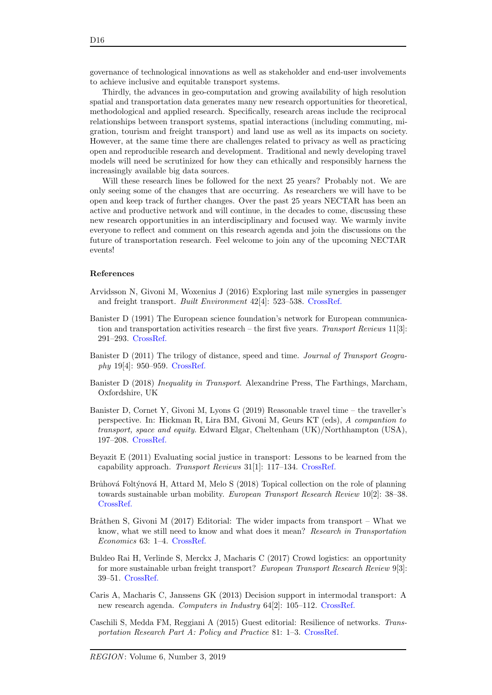governance of technological innovations as well as stakeholder and end-user involvements to achieve inclusive and equitable transport systems.

Thirdly, the advances in geo-computation and growing availability of high resolution spatial and transportation data generates many new research opportunities for theoretical, methodological and applied research. Specifically, research areas include the reciprocal relationships between transport systems, spatial interactions (including commuting, migration, tourism and freight transport) and land use as well as its impacts on society. However, at the same time there are challenges related to privacy as well as practicing open and reproducible research and development. Traditional and newly developing travel models will need be scrutinized for how they can ethically and responsibly harness the increasingly available big data sources.

Will these research lines be followed for the next 25 years? Probably not. We are only seeing some of the changes that are occurring. As researchers we will have to be open and keep track of further changes. Over the past 25 years NECTAR has been an active and productive network and will continue, in the decades to come, discussing these new research opportunities in an interdisciplinary and focused way. We warmly invite everyone to reflect and comment on this research agenda and join the discussions on the future of transportation research. Feel welcome to join any of the upcoming NECTAR events!

#### References

- <span id="page-15-7"></span>Arvidsson N, Givoni M, Woxenius J (2016) Exploring last mile synergies in passenger and freight transport. Built Environment 42[4]: 523–538. [CrossRef.](https://doi.org/10.2148/benv.42.4.523)
- <span id="page-15-0"></span>Banister D (1991) The European science foundation's network for European communication and transportation activities research – the first five years. Transport Reviews  $11[3]$ : 291–293. [CrossRef.](https://doi.org/10.1080/01441649108716789)
- <span id="page-15-2"></span>Banister D (2011) The trilogy of distance, speed and time. Journal of Transport Geography 19[4]: 950–959. [CrossRef.](https://doi.org/10.1016/j.jtrangeo.2010.12.004)
- <span id="page-15-10"></span>Banister D (2018) Inequality in Transport. Alexandrine Press, The Farthings, Marcham, Oxfordshire, UK
- <span id="page-15-3"></span>Banister D, Cornet Y, Givoni M, Lyons G (2019) Reasonable travel time – the traveller's perspective. In: Hickman R, Lira BM, Givoni M, Geurs KT (eds), A compantion to transport, space and equity. Edward Elgar, Cheltenham (UK)/Northhampton (USA), 197–208. [CrossRef.](https://doi.org/10.4337/9781788119825.00023)
- <span id="page-15-4"></span>Beyazit E (2011) Evaluating social justice in transport: Lessons to be learned from the capability approach. Transport Reviews 31[1]: 117–134. [CrossRef.](https://doi.org/10.1080/01441647.2010.504900)
- <span id="page-15-6"></span>Brůhová Foltýnová H, Attard M, Melo S (2018) Topical collection on the role of planning towards sustainable urban mobility. European Transport Research Review 10[2]: 38–38. [CrossRef.](https://doi.org/10.1186/s12544-018-0310-z)
- <span id="page-15-1"></span>Bråthen S, Givoni M (2017) Editorial: The wider impacts from transport – What we know, what we still need to know and what does it mean? Research in Transportation Economics 63: 1–4. [CrossRef.](https://doi.org/10.1016/j.retrec.2017.09.005)
- <span id="page-15-8"></span>Buldeo Rai H, Verlinde S, Merckx J, Macharis C (2017) Crowd logistics: an opportunity for more sustainable urban freight transport? European Transport Research Review 9[3]: 39–51. [CrossRef.](https://doi.org/10.1007/s12544-017-0256-6)
- <span id="page-15-5"></span>Caris A, Macharis C, Janssens GK (2013) Decision support in intermodal transport: A new research agenda. Computers in Industry 64[2]: 105–112. [CrossRef.](https://doi.org/10.1016/j.compind.2012.12.001)
- <span id="page-15-9"></span>Caschili S, Medda FM, Reggiani A (2015) Guest editorial: Resilience of networks. Transportation Research Part A: Policy and Practice 81: 1–3. [CrossRef.](https://doi.org/10.1016/j.tra.2015.07.010)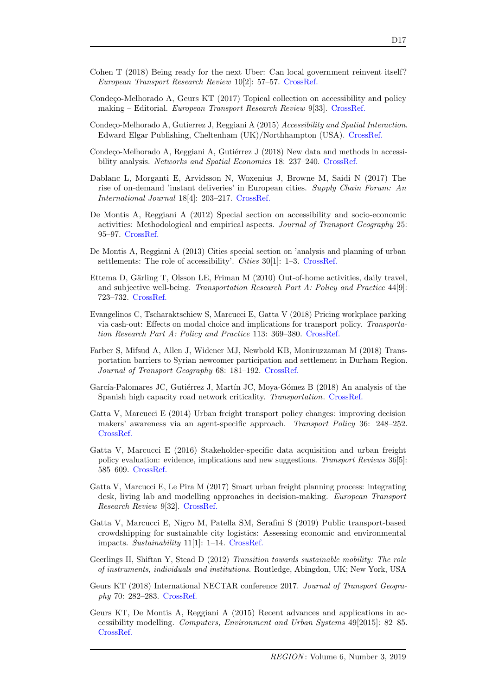D17

- <span id="page-16-11"></span>Cohen T (2018) Being ready for the next Uber: Can local government reinvent itself? European Transport Research Review 10[2]: 57–57. [CrossRef.](https://doi.org/10.1186/s12544-018-0330-8)
- <span id="page-16-7"></span>Condeço-Melhorado A, Geurs KT  $(2017)$  Topical collection on accessibility and policy making – Editorial. European Transport Research Review 9[33]. [CrossRef.](https://doi.org/10.1007/s12544-017-0249-5)
- <span id="page-16-6"></span>Condeço-Melhorado A, Gutierrez J, Reggiani A (2015) Accessibility and Spatial Interaction. Edward Elgar Publishing, Cheltenham (UK)/Northhampton (USA). [CrossRef.](https://doi.org/10.4337/9781782540731)
- <span id="page-16-8"></span>Condeço-Melhorado A, Reggiani A, Gutiérrez J (2018) New data and methods in accessi-bility analysis. Networks and Spatial Economics 18: 237–240. [CrossRef.](https://doi.org/10.1007/s11067-018-9404-3)
- <span id="page-16-2"></span>Dablanc L, Morganti E, Arvidsson N, Woxenius J, Browne M, Saidi N (2017) The rise of on-demand 'instant deliveries' in European cities. Supply Chain Forum: An International Journal 18[4]: 203–217. [CrossRef.](https://doi.org/10.1080/16258312.2017.1375375)
- <span id="page-16-5"></span>De Montis A, Reggiani A (2012) Special section on accessibility and socio-economic activities: Methodological and empirical aspects. Journal of Transport Geography 25: 95–97. [CrossRef.](https://doi.org/10.1016/j.jtrangeo.2012.08.001)
- <span id="page-16-4"></span>De Montis A, Reggiani A (2013) Cities special section on 'analysis and planning of urban settlements: The role of accessibility'. *Cities* 30[1]: 1–3. [CrossRef.](https://doi.org/10.1016/j.cities.2012.08.001)
- <span id="page-16-16"></span>Ettema D, Gärling T, Olsson LE, Friman M (2010) Out-of-home activities, daily travel, and subjective well-being. Transportation Research Part A: Policy and Practice 44[9]: 723–732. [CrossRef.](https://doi.org/10.1016/j.tra.2010.07.005)
- <span id="page-16-12"></span>Evangelinos C, Tscharaktschiew S, Marcucci E, Gatta V (2018) Pricing workplace parking via cash-out: Effects on modal choice and implications for transport policy. Transportation Research Part A: Policy and Practice 113: 369–380. [CrossRef.](https://doi.org/10.1016/j.tra.2018.04.025)
- <span id="page-16-17"></span>Farber S, Mifsud A, Allen J, Widener MJ, Newbold KB, Moniruzzaman M (2018) Transportation barriers to Syrian newcomer participation and settlement in Durham Region. Journal of Transport Geography 68: 181–192. [CrossRef.](https://doi.org/10.1016/j.jtrangeo.2018.03.014)
- <span id="page-16-9"></span>García-Palomares JC, Gutiérrez J, Martín JC, Moya-Gómez B (2018) An analysis of the Spanish high capacity road network criticality. Transportation. [CrossRef.](http://doi.org/10.1007/s11116-018-9877-4)
- <span id="page-16-13"></span>Gatta V, Marcucci E (2014) Urban freight transport policy changes: improving decision makers' awareness via an agent-specific approach. Transport Policy 36: 248–252. [CrossRef.](https://doi.org/10.1016/j.tranpol.2014.09.007)
- <span id="page-16-14"></span>Gatta V, Marcucci E (2016) Stakeholder-specific data acquisition and urban freight policy evaluation: evidence, implications and new suggestions. Transport Reviews 36[5]: 585–609. [CrossRef.](https://doi.org/10.1080/01441647.2015.1126385)
- <span id="page-16-15"></span>Gatta V, Marcucci E, Le Pira M (2017) Smart urban freight planning process: integrating desk, living lab and modelling approaches in decision-making. *European Transport* Research Review 9[32]. [CrossRef.](https://doi.org/10.1007/s12544-017-0245-9)
- <span id="page-16-1"></span>Gatta V, Marcucci E, Nigro M, Patella SM, Serafini S (2019) Public transport-based crowdshipping for sustainable city logistics: Assessing economic and environmental impacts. Sustainability 11[1]: 1–14. [CrossRef.](https://doi.org/10.3390/su11010145)
- <span id="page-16-10"></span>Geerlings H, Shiftan Y, Stead D (2012) Transition towards sustainable mobility: The role of instruments, individuals and institutions. Routledge, Abingdon, UK; New York, USA
- <span id="page-16-0"></span>Geurs KT (2018) International NECTAR conference 2017. Journal of Transport Geography 70: 282–283. [CrossRef.](https://doi.org/10.1016/j.jtrangeo.2018.04.020)
- <span id="page-16-3"></span>Geurs KT, De Montis A, Reggiani A (2015) Recent advances and applications in accessibility modelling. Computers, Environment and Urban Systems 49[2015]: 82–85. [CrossRef.](http://dx.doi.org/10.1016/j.compenvurbsys.2014.09.003)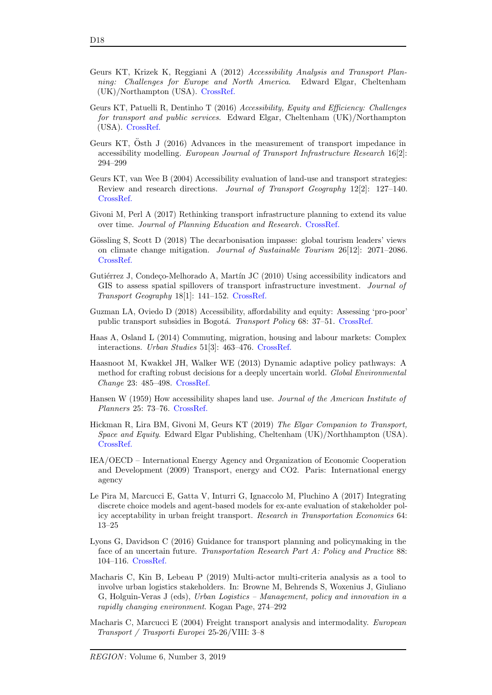- <span id="page-17-11"></span>Geurs KT, Krizek K, Reggiani A (2012) Accessibility Analysis and Transport Planning: Challenges for Europe and North America. Edward Elgar, Cheltenham (UK)/Northampton (USA). [CrossRef.](https://doi.org/10.4337/9781781000113)
- <span id="page-17-12"></span>Geurs KT, Patuelli R, Dentinho T (2016) Accessibility, Equity and Efficiency: Challenges for transport and public services. Edward Elgar, Cheltenham (UK)/Northampton (USA). [CrossRef.](https://doi.org/10.4337/9781784717896)
- <span id="page-17-10"></span>Geurs KT,  $\tilde{\mathrm{O}}$ sth J (2016) Advances in the measurement of transport impedance in accessibility modelling. European Journal of Transport Infrastructure Research 16[2]: 294–299
- <span id="page-17-9"></span>Geurs KT, van Wee B (2004) Accessibility evaluation of land-use and transport strategies: Review and research directions. Journal of Transport Geography 12[2]: 127–140. [CrossRef.](https://doi.org/10.1016/j.jtrangeo.2003.10.005)
- <span id="page-17-2"></span>Givoni M, Perl A (2017) Rethinking transport infrastructure planning to extend its value over time. Journal of Planning Education and Research. [CrossRef.](https://doi.org/10.1177/0739456X17741196)
- <span id="page-17-5"></span>Gössling S, Scott D (2018) The decarbonisation impasse: global tourism leaders' views on climate change mitigation. Journal of Sustainable Tourism 26[12]: 2071–2086. [CrossRef.](https://doi.org/10.1080/09669582.2018.1529770)
- <span id="page-17-13"></span>Gutiérrez J, Condeço-Melhorado A, Martín JC (2010) Using accessibility indicators and GIS to assess spatial spillovers of transport infrastructure investment. Journal of Transport Geography 18[1]: 141–152. [CrossRef.](https://doi.org/10.1016/j.jtrangeo.2008.12.003)
- <span id="page-17-14"></span>Guzman LA, Oviedo D (2018) Accessibility, affordability and equity: Assessing 'pro-poor' public transport subsidies in Bogotá. Transport Policy 68: 37–51. [CrossRef.](https://doi.org/10.1016/j.tranpol.2018.04.012)
- <span id="page-17-4"></span>Haas A, Osland L (2014) Commuting, migration, housing and labour markets: Complex interactions. Urban Studies 51[3]: 463–476. [CrossRef.](https://doi.org/10.1177/0042098013498285)
- <span id="page-17-3"></span>Haasnoot M, Kwakkel JH, Walker WE (2013) Dynamic adaptive policy pathways: A method for crafting robust decisions for a deeply uncertain world. Global Environmental Change 23: 485–498. [CrossRef.](https://doi.org/10.1016/j.gloenvcha.2012.12.006)
- <span id="page-17-8"></span>Hansen W (1959) How accessibility shapes land use. Journal of the American Institute of Planners 25: 73–76. [CrossRef.](https://doi.org/10.1080/01944365908978307)
- <span id="page-17-0"></span>Hickman R, Lira BM, Givoni M, Geurs KT (2019) The Elgar Companion to Transport, Space and Equity. Edward Elgar Publishing, Cheltenham (UK)/Northhampton (USA). [CrossRef.](https://doi.org/10.4337/9781788119825)
- <span id="page-17-15"></span>IEA/OECD – International Energy Agency and Organization of Economic Cooperation and Development (2009) Transport, energy and CO2. Paris: International energy agency
- <span id="page-17-16"></span>Le Pira M, Marcucci E, Gatta V, Inturri G, Ignaccolo M, Pluchino A (2017) Integrating discrete choice models and agent-based models for ex-ante evaluation of stakeholder policy acceptability in urban freight transport. Research in Transportation Economics 64: 13–25
- <span id="page-17-1"></span>Lyons G, Davidson C (2016) Guidance for transport planning and policymaking in the face of an uncertain future. Transportation Research Part A: Policy and Practice 88: 104–116. [CrossRef.](https://doi.org/10.1016/j.tra.2016.03.012)
- <span id="page-17-7"></span>Macharis C, Kin B, Lebeau P (2019) Multi-actor multi-criteria analysis as a tool to involve urban logistics stakeholders. In: Browne M, Behrends S, Woxenius J, Giuliano G, Holguin-Veras J (eds), Urban Logistics – Management, policy and innovation in a rapidly changing environment. Kogan Page, 274–292
- <span id="page-17-6"></span>Macharis C, Marcucci E (2004) Freight transport analysis and intermodality. European Transport / Trasporti Europei 25-26/VIII: 3–8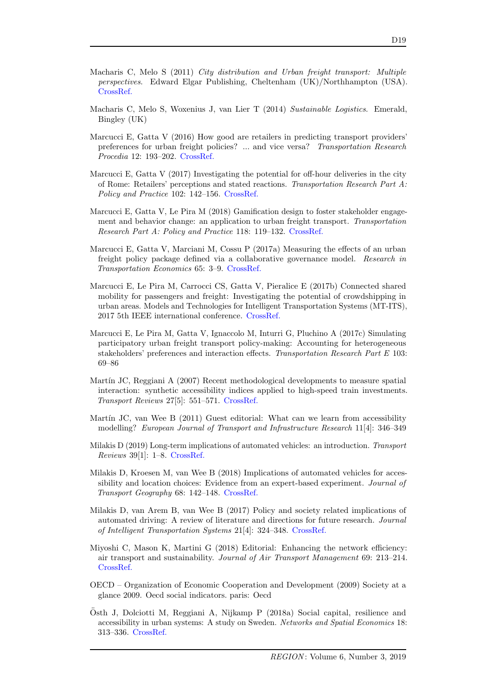- <span id="page-18-5"></span>Macharis C, Melo S (2011) City distribution and Urban freight transport: Multiple perspectives. Edward Elgar Publishing, Cheltenham (UK)/Northhampton (USA). [CrossRef.](https://doi.org/10.4337/9780857932754)
- <span id="page-18-4"></span>Macharis C, Melo S, Woxenius J, van Lier T (2014) Sustainable Logistics. Emerald, Bingley (UK)
- <span id="page-18-7"></span>Marcucci E, Gatta V (2016) How good are retailers in predicting transport providers' preferences for urban freight policies? ... and vice versa? Transportation Research Procedia 12: 193–202. [CrossRef.](https://doi.org/10.1016/j.trpro.2016.02.058)
- <span id="page-18-13"></span>Marcucci E, Gatta V (2017) Investigating the potential for off-hour deliveries in the city of Rome: Retailers' perceptions and stated reactions. Transportation Research Part A: Policy and Practice 102: 142–156. [CrossRef.](https://doi.org/10.1016/j.tra.2017.02.001)
- <span id="page-18-8"></span>Marcucci E, Gatta V, Le Pira M (2018) Gamification design to foster stakeholder engagement and behavior change: an application to urban freight transport. Transportation Research Part A: Policy and Practice 118: 119–132. [CrossRef.](https://doi.org/10.1016/j.tra.2018.08.028)
- <span id="page-18-6"></span>Marcucci E, Gatta V, Marciani M, Cossu P (2017a) Measuring the effects of an urban freight policy package defined via a collaborative governance model. Research in Transportation Economics 65: 3–9. [CrossRef.](https://doi.org/10.1016/j.retrec.2017.09.001)
- <span id="page-18-14"></span>Marcucci E, Le Pira M, Carrocci CS, Gatta V, Pieralice E (2017b) Connected shared mobility for passengers and freight: Investigating the potential of crowdshipping in urban areas. Models and Technologies for Intelligent Transportation Systems (MT-ITS), 2017 5th IEEE international conference. [CrossRef.](https://doi.org/10.1109/mtits.2017.8005629)
- <span id="page-18-15"></span>Marcucci E, Le Pira M, Gatta V, Ignaccolo M, Inturri G, Pluchino A (2017c) Simulating participatory urban freight transport policy-making: Accounting for heterogeneous stakeholders' preferences and interaction effects. Transportation Research Part E 103: 69–86
- <span id="page-18-9"></span>Martín JC, Reggiani A (2007) Recent methodological developments to measure spatial interaction: synthetic accessibility indices applied to high-speed train investments. Transport Reviews 27[5]: 551–571. [CrossRef.](https://doi.org/10.1080/01441640701322610)
- <span id="page-18-10"></span>Martín JC, van Wee B  $(2011)$  Guest editorial: What can we learn from accessibility modelling? European Journal of Transport and Infrastructure Research 11[4]: 346–349
- <span id="page-18-12"></span>Milakis D (2019) Long-term implications of automated vehicles: an introduction. Transport Reviews 39[1]: 1–8. [CrossRef.](https://doi.org/10.1080/01441647.2019.1545286)
- <span id="page-18-2"></span>Milakis D, Kroesen M, van Wee B (2018) Implications of automated vehicles for accessibility and location choices: Evidence from an expert-based experiment. Journal of Transport Geography 68: 142–148. [CrossRef.](https://doi.org/10.1016/j.jtrangeo.2018.03.010)
- <span id="page-18-1"></span>Milakis D, van Arem B, van Wee B (2017) Policy and society related implications of automated driving: A review of literature and directions for future research. Journal of Intelligent Transportation Systems 21[4]: 324–348. [CrossRef.](https://doi.org/10.1080/15472450.2017.1291351)
- <span id="page-18-0"></span>Miyoshi C, Mason K, Martini G (2018) Editorial: Enhancing the network efficiency: air transport and sustainability. Journal of Air Transport Management 69: 213–214. [CrossRef.](https://doi.org/10.1016/j.jairtraman.2018.02.001)
- <span id="page-18-3"></span>OECD – Organization of Economic Cooperation and Development (2009) Society at a glance 2009. Oecd social indicators. paris: Oecd
- <span id="page-18-11"></span> $\ddot{\text{O}}$ sth J, Dolciotti M, Reggiani A, Nijkamp P (2018a) Social capital, resilience and accessibility in urban systems: A study on Sweden. Networks and Spatial Economics 18: 313–336. [CrossRef.](https://doi.org/10.1007/s11067-017-9375-9)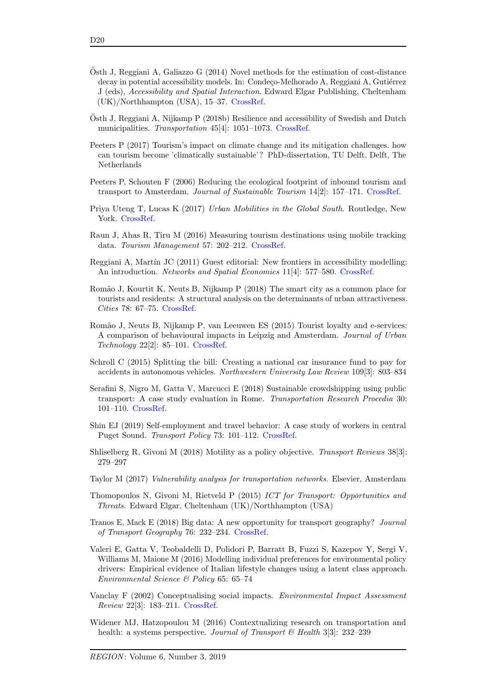- <span id="page-19-10"></span>Osth J, Reggiani A, Galiazzo G  $(2014)$  Novel methods for the estimation of cost-distance decay in potential accessibility models. In: Condeço-Melhorado A, Reggiani A, Gutiérrez J (eds), Accessibility and Spatial Interaction. Edward Elgar Publishing, Cheltenham (UK)/Northhampton (USA), 15–37. [CrossRef.](https://doi.org/10.4337/9781782540731.00008)
- <span id="page-19-11"></span>Osth J, Reggiani A, Nijkamp P (2018b) Resilience and accessibility of Swedish and Dutch ¨ municipalities. Transportation 45[4]: 1051–1073. [CrossRef.](https://doi.org/10.1007/s11116-017-9854-3)
- <span id="page-19-3"></span>Peeters P (2017) Tourism's impact on climate change and its mitigation challenges. how can tourism become 'climatically sustainable'? PhD-dissertation, TU Delft, Delft, The Netherlands
- <span id="page-19-4"></span>Peeters P, Schouten F (2006) Reducing the ecological footprint of inbound tourism and transport to Amsterdam. Journal of Sustainable Tourism 14[2]: 157–171. [CrossRef.](https://doi.org/10.1080/09669580508669050)
- <span id="page-19-17"></span>Priya Uteng T, Lucas K (2017) Urban Mobilities in the Global South. Routledge, New York. [CrossRef.](https://doi.org/10.4324/9781315265094-1)
- <span id="page-19-7"></span>Raun J, Ahas R, Tiru M (2016) Measuring tourism destinations using mobile tracking data. Tourism Management 57: 202–212. [CrossRef.](https://doi.org/10.1016/j.tourman.2016.06.006)
- <span id="page-19-9"></span>Reggiani A, Martín JC (2011) Guest editorial: New frontiers in accessibility modelling: An introduction. *Networks and Spatial Economics* 11[4]: 577–580. [CrossRef.](https://doi.org/10.1007/s11067-011-9155-x)
- <span id="page-19-5"></span>Rom˜ao J, Kourtit K, Neuts B, Nijkamp P (2018) The smart city as a common place for tourists and residents: A structural analysis on the determinants of urban attractiveness. Cities 78: 67–75. [CrossRef.](https://doi.org/10.1016/j.cities.2017.11.007)
- <span id="page-19-6"></span>Rom˜ao J, Neuts B, Nijkamp P, van Leeuwen ES (2015) Tourist loyalty and e-services: A comparison of behavioural impacts in Leipzig and Amsterdam. Journal of Urban Technology 22[2]: 85–101. [CrossRef.](https://doi.org/10.1080/10630732.2015.1018724)
- <span id="page-19-14"></span>Schroll C (2015) Splitting the bill: Creating a national car insurance fund to pay for accidents in autonomous vehicles. Northwestern University Law Review 109[3]: 803–834
- <span id="page-19-8"></span>Serafini S, Nigro M, Gatta V, Marcucci E (2018) Sustainable crowdshipping using public transport: A case study evaluation in Rome. Transportation Research Procedia 30: 101–110. [CrossRef.](https://doi.org/10.1016/j.trpro.2018.09.012)
- <span id="page-19-2"></span>Shin EJ (2019) Self-employment and travel behavior: A case study of workers in central Puget Sound. Transport Policy 73: 101–112. [CrossRef.](https://doi.org/10.1016/j.tranpol.2018.11.002)
- <span id="page-19-1"></span>Shliselberg R, Givoni M (2018) Motility as a policy objective. Transport Reviews 38[3]: 279–297
- <span id="page-19-12"></span>Taylor M (2017) Vulnerability analysis for transportation networks. Elsevier, Amsterdam
- <span id="page-19-0"></span>Thomopoulos N, Givoni M, Rietveld P (2015) ICT for Transport: Opportunities and Threats. Edward Elgar, Cheltenham (UK)/Northhampton (USA)
- <span id="page-19-13"></span>Tranos E, Mack E (2018) Big data: A new opportunity for transport geography? Journal of Transport Geography 76: 232–234. [CrossRef.](https://doi.org/10.1016/j.jtrangeo.2018.08.003)
- <span id="page-19-15"></span>Valeri E, Gatta V, Teobaldelli D, Polidori P, Barratt B, Fuzzi S, Kazepov Y, Sergi V, Williams M, Maione M (2016) Modelling individual preferences for environmental policy drivers: Empirical evidence of Italian lifestyle changes using a latent class approach. Environmental Science & Policy 65: 65–74
- <span id="page-19-18"></span>Vanclay F (2002) Conceptualising social impacts. Environmental Impact Assessment Review 22[3]: 183–211. [CrossRef.](https://doi.org/10.1016/s0195-9255(01)00105-6)
- <span id="page-19-16"></span>Widener MJ, Hatzopoulou M (2016) Contextualizing research on transportation and health: a systems perspective. Journal of Transport & Health 3[3]: 232-239